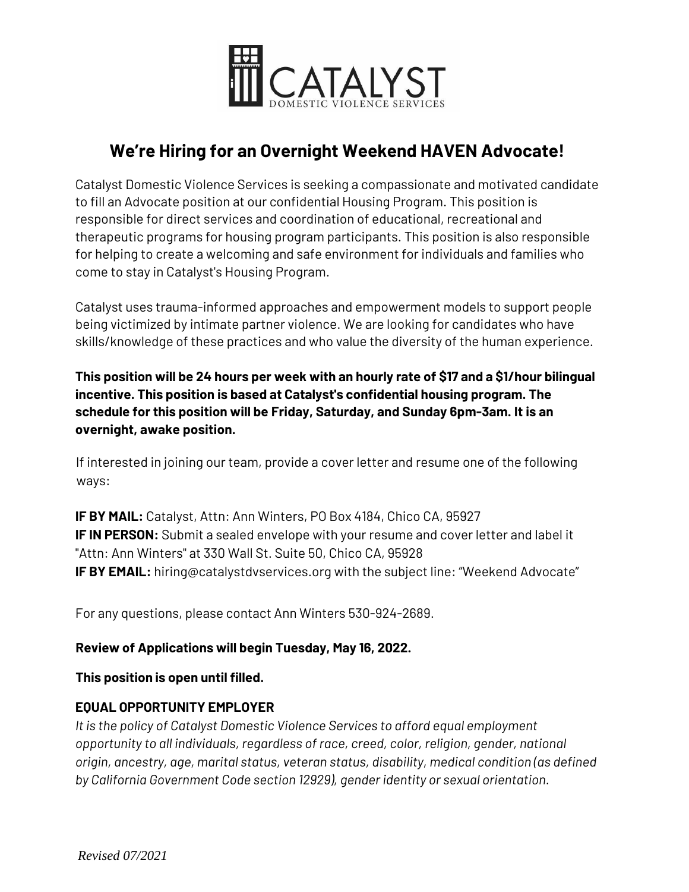

# **We're Hiring for an Overnight Weekend HAVEN Advocate!**

Catalyst Domestic Violence Services is seeking a compassionate and motivated candidate to fill an Advocate position at our confidential Housing Program. This position is responsible for direct services and coordination of educational, recreational and therapeutic programs for housing program participants. This position is also responsible for helping to create a welcoming and safe environment for individuals and families who come to stay in Catalyst's Housing Program.

Catalyst uses trauma-informed approaches and empowerment models to support people being victimized by intimate partner violence. We are looking for candidates who have skills/knowledge of these practices and who value the diversity of the human experience.

**This position will be 24 hours per week with an hourly rate of \$17 and a \$1/hour bilingual incentive. This position is based at Catalyst's confidential housing program. The schedule for this position will be Friday, Saturday, and Sunday 6pm-3am. It is an overnight, awake position.**

If interested in joining our team, provide a cover letter and resume one of the following ways:

**IF BY MAIL:** Catalyst, Attn: Ann Winters, PO Box 4184, Chico CA, 95927 **IF IN PERSON:** Submit a sealed envelope with your resume and cover letter and label it "Attn: Ann Winters" at 330 Wall St. Suite 50, Chico CA, 95928 **IF BY EMAIL:** hiring@catalystdvservices.org with the subject line: "Weekend Advocate"

For any questions, please contact Ann Winters 530-924-2689.

### **Review of Applications will begin Tuesday, May 16, 2022.**

**This position is open until filled.** 

## **EQUAL OPPORTUNITY EMPLOYER**

*It is the policy of Catalyst Domestic Violence Services to afford equal employment opportunity to all individuals, regardless of race, creed, color, religion, gender, national origin, ancestry, age, marital status, veteran status, disability, medical condition (as defined by California Government Code section 12929), gender identity or sexual orientation.*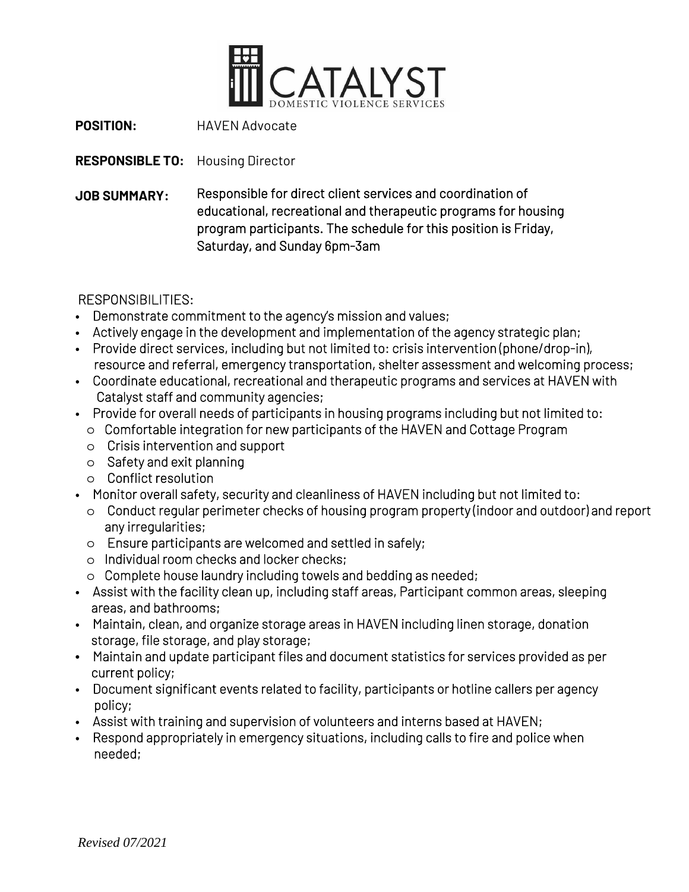

**POSITION:** HAVEN Advocate

**RESPONSIBLE TO:** Housing Director

**JOB SUMMARY:** Responsible for direct client services and coordination of educational, recreational and therapeutic programs for housing program participants. The schedule for this position is Friday, Saturday, and Sunday 6pm-3am

RESPONSIBILITIES:

- Demonstrate commitment to the agency's mission and values;
- Actively engage in the development and implementation of the agency strategic plan;
- Provide direct services, including but not limited to: crisis intervention (phone/drop-in), resource and referral, emergency transportation, shelter assessment and welcoming process;
- Coordinate educational, recreational and therapeutic programs and services at HAVEN with Catalyst staff and community agencies;
- Provide for overall needs of participants in housing programs including but not limited to:
	- o Comfortable integration for new participants of the HAVEN and Cottage Program
	- o Crisis intervention and support
	- o Safety and exit planning
	- o Conflict resolution
- Monitor overall safety, security and cleanliness of HAVEN including but not limited to:
	- o Conduct regular perimeter checks of housing program property (indoor and outdoor) and report any irregularities;
	- o Ensure participants are welcomed and settled in safely;
	- o Individual room checks and locker checks;
	- o Complete house laundry including towels and bedding as needed;
- Assist with the facility clean up, including staff areas, Participant common areas, sleeping areas, and bathrooms;
- Maintain, clean, and organize storage areas in HAVEN including linen storage, donation storage, file storage, and play storage;
- Maintain and update participant files and document statistics for services provided as per current policy;
- Document significant events related to facility, participants or hotline callers per agency policy;
- Assist with training and supervision of volunteers and interns based at HAVEN;
- Respond appropriately in emergency situations, including calls to fire and police when needed;